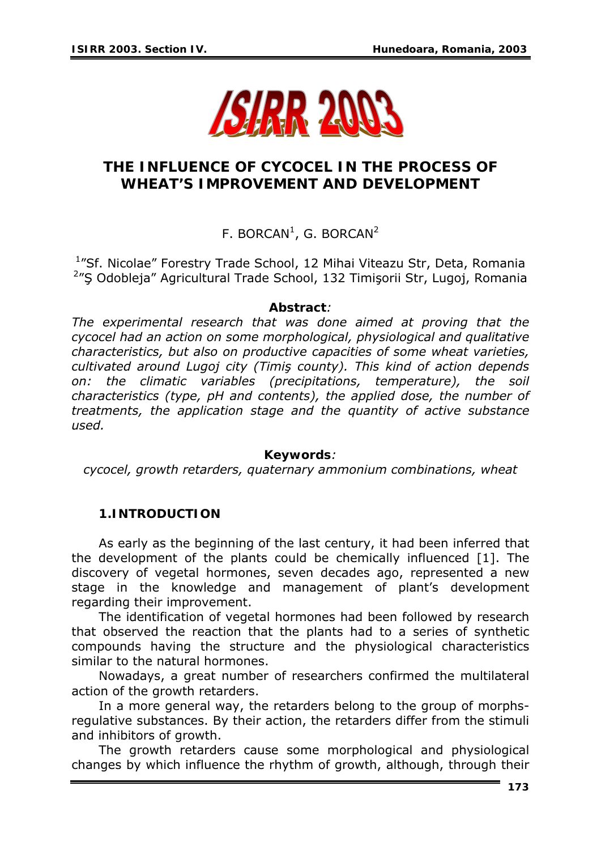

# **THE INFLUENCE OF CYCOCEL IN THE PROCESS OF WHEAT'S IMPROVEMENT AND DEVELOPMENT**

F. BORCAN<sup>1</sup>, G. BORCAN<sup>2</sup>

<sup>1</sup>"Sf. Nicolae" Forestry Trade School, 12 Mihai Viteazu Str, Deta, Romania <sup>2</sup>"Ş Odobleja" Agricultural Trade School, 132 Timişorii Str, Lugoj, Romania

#### *Abstract:*

*The experimental research that was done aimed at proving that the cycocel had an action on some morphological, physiological and qualitative characteristics, but also on productive capacities of some wheat varieties, cultivated around Lugoj city (Timiş county). This kind of action depends on: the climatic variables (precipitations, temperature), the soil characteristics (type, pH and contents), the applied dose, the number of treatments, the application stage and the quantity of active substance used.*

#### *Keywords:*

*cycocel, growth retarders, quaternary ammonium combinations, wheat* 

#### **1.INTRODUCTION**

As early as the beginning of the last century, it had been inferred that the development of the plants could be chemically influenced [1]. The discovery of vegetal hormones, seven decades ago, represented a new stage in the knowledge and management of plant's development regarding their improvement.

The identification of vegetal hormones had been followed by research that observed the reaction that the plants had to a series of synthetic compounds having the structure and the physiological characteristics similar to the natural hormones.

Nowadays, a great number of researchers confirmed the multilateral action of the growth retarders.

In a more general way, the retarders belong to the group of morphsregulative substances. By their action, the retarders differ from the stimuli and inhibitors of growth.

The growth retarders cause some morphological and physiological changes by which influence the rhythm of growth, although, through their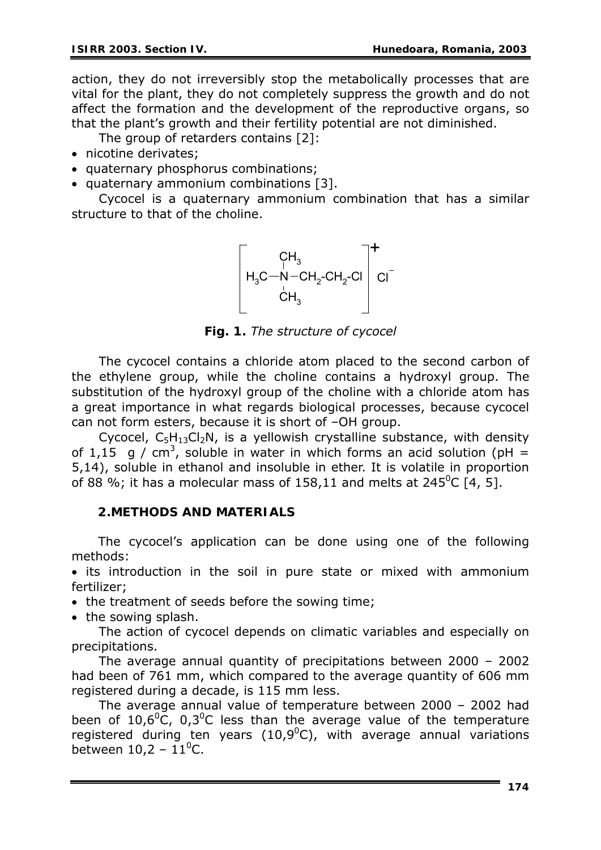action, they do not irreversibly stop the metabolically processes that are vital for the plant, they do not completely suppress the growth and do not affect the formation and the development of the reproductive organs, so that the plant's growth and their fertility potential are not diminished.

- The group of retarders contains [2]:
- nicotine derivates;
- quaternary phosphorus combinations;
- quaternary ammonium combinations [3].

Cycocel is a quaternary ammonium combination that has a similar structure to that of the choline.

 $CH<sub>3</sub>$  $H_3C$ —N – C $H_2$ -C $H_2$ -Cl  $CH<sub>3</sub>$  $N$  – CH<sub>2</sub>-CH<sub>2</sub>-CI  $\mid$  CI +

*Fig. 1. The structure of cycocel* 

The cycocel contains a chloride atom placed to the second carbon of the ethylene group, while the choline contains a hydroxyl group. The substitution of the hydroxyl group of the choline with a chloride atom has a great importance in what regards biological processes, because cycocel can not form esters, because it is short of –OH group.

Cycocel,  $C_5H_{13}Cl_2N$ , is a yellowish crystalline substance, with density of 1,15 g / cm<sup>3</sup>, soluble in water in which forms an acid solution (pH = 5,14), soluble in ethanol and insoluble in ether. It is volatile in proportion of 88 %; it has a molecular mass of 158,11 and melts at 245<sup>0</sup>C [4, 5].

## **2.METHODS AND MATERIALS**

 The cycocel's application can be done using one of the following methods:

• its introduction in the soil in pure state or mixed with ammonium fertilizer;

- the treatment of seeds before the sowing time;
- the sowing splash.

The action of cycocel depends on climatic variables and especially on precipitations.

The average annual quantity of precipitations between 2000 – 2002 had been of 761 mm, which compared to the average quantity of 606 mm registered during a decade, is 115 mm less.

The average annual value of temperature between 2000 – 2002 had been of 10,6 $^{0}$ C, 0,3 $^{0}$ C less than the average value of the temperature registered during ten years (10,9 $^0$ C), with average annual variations between  $10,2 - 11$ <sup>o</sup>C.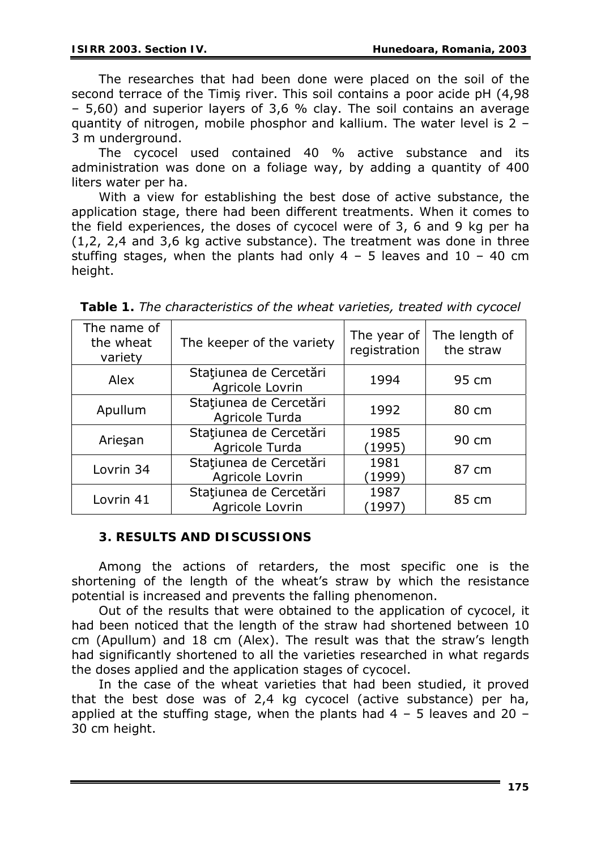The researches that had been done were placed on the soil of the second terrace of the Timiş river. This soil contains a poor acide pH (4,98 – 5,60) and superior layers of 3,6 % clay. The soil contains an average quantity of nitrogen, mobile phosphor and kallium. The water level is 2 – 3 m underground.

The cycocel used contained 40 % active substance and its administration was done on a foliage way, by adding a quantity of 400 liters water per ha.

With a view for establishing the best dose of active substance, the application stage, there had been different treatments. When it comes to the field experiences, the doses of cycocel were of 3, 6 and 9 kg per ha (1,2, 2,4 and 3,6 kg active substance). The treatment was done in three stuffing stages, when the plants had only  $4 - 5$  leaves and  $10 - 40$  cm height.

| The name of<br>the wheat<br>variety | The keeper of the variety                                   | The year of<br>registration | The length of<br>the straw |
|-------------------------------------|-------------------------------------------------------------|-----------------------------|----------------------------|
| Alex                                | Stațiunea de Cercetări<br>Agricole Lovrin                   | 1994                        | 95 cm                      |
| Apullum                             | Stațiunea de Cercetări<br>1992<br>Agricole Turda            |                             | 80 cm                      |
| Arieşan                             | Stațiunea de Cercetări<br>1985<br>Agricole Turda<br>(1995)  |                             | 90 cm                      |
| Lovrin 34                           | Stațiunea de Cercetări<br>1981<br>Agricole Lovrin<br>(1999) |                             | 87 cm                      |
| Lovrin 41                           | Stațiunea de Cercetări<br>1987<br>Agricole Lovrin<br>1997   |                             | 85 cm                      |

*Table 1. The characteristics of the wheat varieties, treated with cycocel* 

## **3. RESULTS AND DISCUSSIONS**

Among the actions of retarders, the most specific one is the shortening of the length of the wheat's straw by which the resistance potential is increased and prevents the falling phenomenon.

Out of the results that were obtained to the application of cycocel, it had been noticed that the length of the straw had shortened between 10 cm (Apullum) and 18 cm (Alex). The result was that the straw's length had significantly shortened to all the varieties researched in what regards the doses applied and the application stages of cycocel.

In the case of the wheat varieties that had been studied, it proved that the best dose was of 2,4 kg cycocel (active substance) per ha, applied at the stuffing stage, when the plants had  $4 - 5$  leaves and 20 – 30 cm height.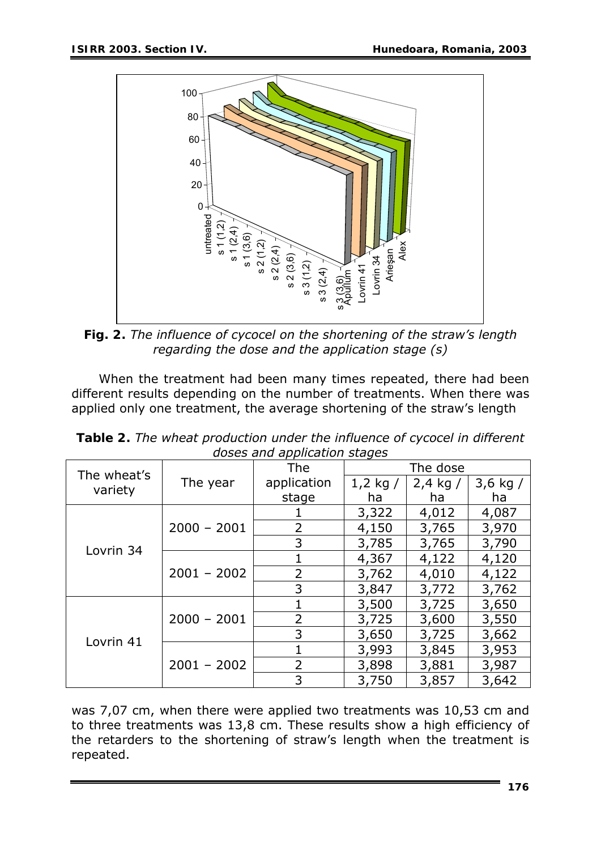

*Fig. 2. The influence of cycocel on the shortening of the straw's length regarding the dose and the application stage (s)* 

When the treatment had been many times repeated, there had been different results depending on the number of treatments. When there was applied only one treatment, the average shortening of the straw's length

| abses and application stages |               |                |            |            |            |  |  |  |
|------------------------------|---------------|----------------|------------|------------|------------|--|--|--|
| The wheat's<br>variety       | The year      | <b>The</b>     | The dose   |            |            |  |  |  |
|                              |               | application    | 1,2 kg $/$ | $2,4$ kg / | 3,6 kg $/$ |  |  |  |
|                              |               | stage          | ha         | ha         | ha         |  |  |  |
| Lovrin 34                    | $2000 - 2001$ |                | 3,322      | 4,012      | 4,087      |  |  |  |
|                              |               | 2              | 4,150      | 3,765      | 3,970      |  |  |  |
|                              |               | 3              | 3,785      | 3,765      | 3,790      |  |  |  |
|                              | $2001 - 2002$ |                | 4,367      | 4,122      | 4,120      |  |  |  |
|                              |               | $\overline{2}$ | 3,762      | 4,010      | 4,122      |  |  |  |
|                              |               | 3              | 3,847      | 3,772      | 3,762      |  |  |  |
| Lovrin <sub>41</sub>         | $2000 - 2001$ |                | 3,500      | 3,725      | 3,650      |  |  |  |
|                              |               | 2              | 3,725      | 3,600      | 3,550      |  |  |  |
|                              |               | 3              | 3,650      | 3,725      | 3,662      |  |  |  |
|                              | $2001 - 2002$ |                | 3,993      | 3,845      | 3,953      |  |  |  |
|                              |               | $\overline{2}$ | 3,898      | 3,881      | 3,987      |  |  |  |
|                              |               | 3              | 3,750      | 3,857      | 3,642      |  |  |  |

*Table 2. The wheat production under the influence of cycocel in different doses and application stages* 

was 7,07 cm, when there were applied two treatments was 10,53 cm and to three treatments was 13,8 cm. These results show a high efficiency of the retarders to the shortening of straw's length when the treatment is repeated.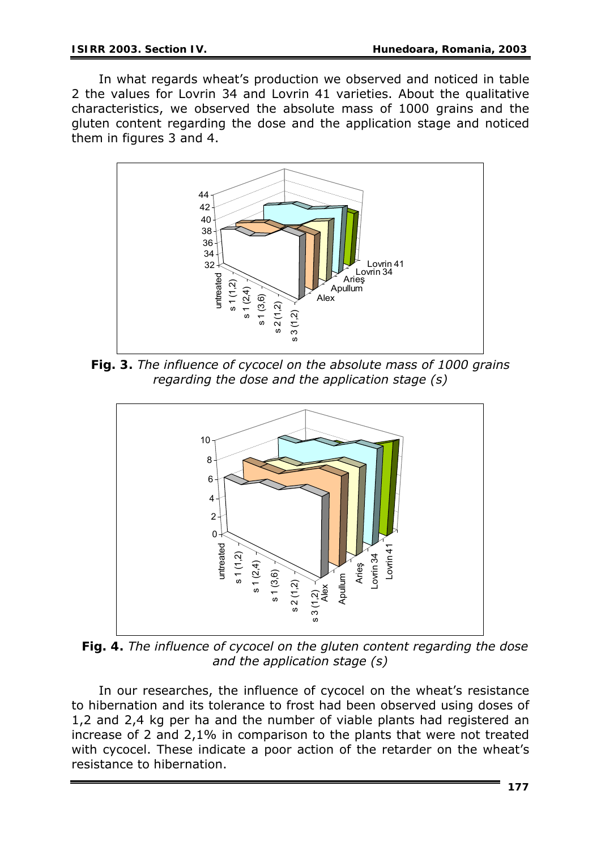In what regards wheat's production we observed and noticed in table 2 the values for Lovrin 34 and Lovrin 41 varieties. About the qualitative characteristics, we observed the absolute mass of 1000 grains and the gluten content regarding the dose and the application stage and noticed them in figures 3 and 4.



*Fig. 3. The influence of cycocel on the absolute mass of 1000 grains regarding the dose and the application stage (s)* 



*Fig. 4. The influence of cycocel on the gluten content regarding the dose and the application stage (s)* 

In our researches, the influence of cycocel on the wheat's resistance to hibernation and its tolerance to frost had been observed using doses of 1,2 and 2,4 kg per ha and the number of viable plants had registered an increase of 2 and 2,1% in comparison to the plants that were not treated with cycocel. These indicate a poor action of the retarder on the wheat's resistance to hibernation.